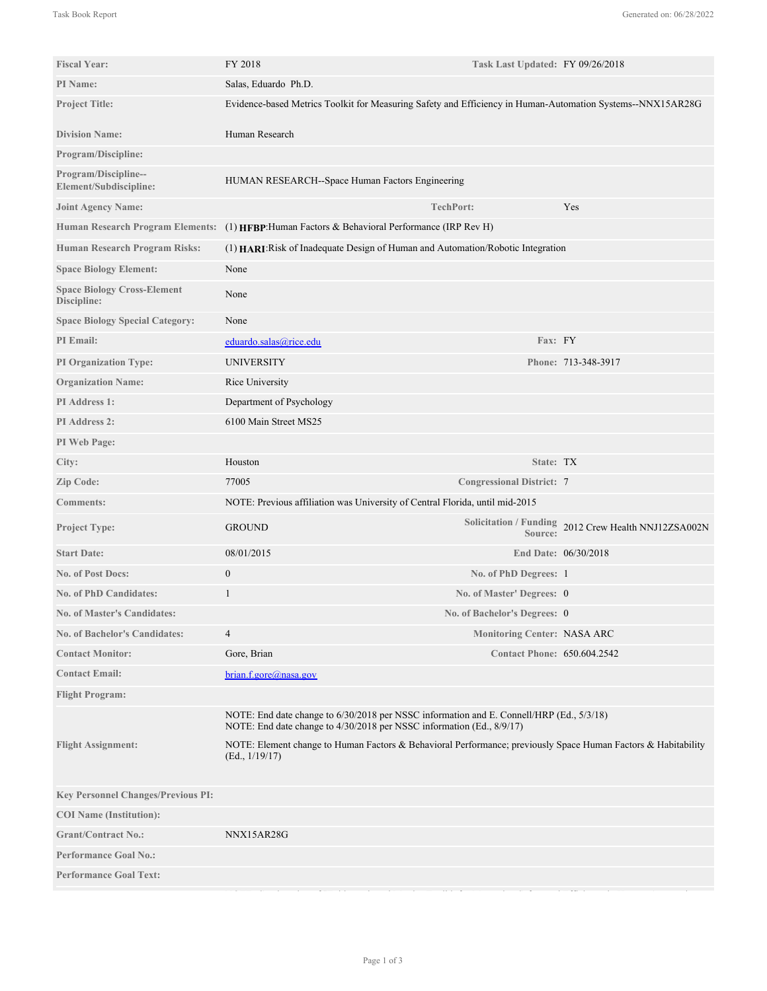| <b>Fiscal Year:</b>                               | FY 2018                                                                                                                                                           | Task Last Updated: FY 09/26/2018   |                                                      |
|---------------------------------------------------|-------------------------------------------------------------------------------------------------------------------------------------------------------------------|------------------------------------|------------------------------------------------------|
| PI Name:                                          | Salas, Eduardo Ph.D.                                                                                                                                              |                                    |                                                      |
| <b>Project Title:</b>                             | Evidence-based Metrics Toolkit for Measuring Safety and Efficiency in Human-Automation Systems--NNX15AR28G                                                        |                                    |                                                      |
| <b>Division Name:</b>                             | Human Research                                                                                                                                                    |                                    |                                                      |
| Program/Discipline:                               |                                                                                                                                                                   |                                    |                                                      |
| Program/Discipline--<br>Element/Subdiscipline:    | HUMAN RESEARCH--Space Human Factors Engineering                                                                                                                   |                                    |                                                      |
| <b>Joint Agency Name:</b>                         |                                                                                                                                                                   | <b>TechPort:</b>                   | Yes                                                  |
| <b>Human Research Program Elements:</b>           | (1) HFBP: Human Factors & Behavioral Performance (IRP Rev H)                                                                                                      |                                    |                                                      |
| <b>Human Research Program Risks:</b>              | (1) HARI: Risk of Inadequate Design of Human and Automation/Robotic Integration                                                                                   |                                    |                                                      |
| <b>Space Biology Element:</b>                     | None                                                                                                                                                              |                                    |                                                      |
| <b>Space Biology Cross-Element</b><br>Discipline: | None                                                                                                                                                              |                                    |                                                      |
| <b>Space Biology Special Category:</b>            | None                                                                                                                                                              |                                    |                                                      |
| <b>PI</b> Email:                                  | eduardo.salas@rice.edu                                                                                                                                            | Fax: FY                            |                                                      |
| <b>PI Organization Type:</b>                      | UNIVERSITY                                                                                                                                                        |                                    | Phone: 713-348-3917                                  |
| <b>Organization Name:</b>                         | Rice University                                                                                                                                                   |                                    |                                                      |
| PI Address 1:                                     | Department of Psychology                                                                                                                                          |                                    |                                                      |
| <b>PI</b> Address 2:                              | 6100 Main Street MS25                                                                                                                                             |                                    |                                                      |
| PI Web Page:                                      |                                                                                                                                                                   |                                    |                                                      |
| City:                                             | Houston                                                                                                                                                           | State: TX                          |                                                      |
| Zip Code:                                         | 77005                                                                                                                                                             | <b>Congressional District: 7</b>   |                                                      |
| <b>Comments:</b>                                  | NOTE: Previous affiliation was University of Central Florida, until mid-2015                                                                                      |                                    |                                                      |
| <b>Project Type:</b>                              | <b>GROUND</b>                                                                                                                                                     | Source:                            | Solicitation / Funding 2012 Crew Health NNJ12ZSA002N |
| <b>Start Date:</b>                                | 08/01/2015                                                                                                                                                        |                                    | End Date: 06/30/2018                                 |
| <b>No. of Post Docs:</b>                          | $\boldsymbol{0}$                                                                                                                                                  | No. of PhD Degrees: 1              |                                                      |
| <b>No. of PhD Candidates:</b>                     | 1                                                                                                                                                                 | No. of Master' Degrees: 0          |                                                      |
| <b>No. of Master's Candidates:</b>                |                                                                                                                                                                   | No. of Bachelor's Degrees: 0       |                                                      |
| <b>No. of Bachelor's Candidates:</b>              | 4                                                                                                                                                                 | <b>Monitoring Center: NASA ARC</b> |                                                      |
| <b>Contact Monitor:</b>                           | Gore, Brian                                                                                                                                                       | <b>Contact Phone: 650.604.2542</b> |                                                      |
| <b>Contact Email:</b>                             | brain.f.gore@nasa.gov                                                                                                                                             |                                    |                                                      |
| <b>Flight Program:</b>                            |                                                                                                                                                                   |                                    |                                                      |
|                                                   | NOTE: End date change to 6/30/2018 per NSSC information and E. Connell/HRP (Ed., 5/3/18)<br>NOTE: End date change to 4/30/2018 per NSSC information (Ed., 8/9/17) |                                    |                                                      |
| <b>Flight Assignment:</b>                         | NOTE: Element change to Human Factors & Behavioral Performance; previously Space Human Factors & Habitability<br>(Ed., 1/19/17)                                   |                                    |                                                      |
| <b>Key Personnel Changes/Previous PI:</b>         |                                                                                                                                                                   |                                    |                                                      |
| <b>COI</b> Name (Institution):                    |                                                                                                                                                                   |                                    |                                                      |
| <b>Grant/Contract No.:</b>                        | NNX15AR28G                                                                                                                                                        |                                    |                                                      |
| <b>Performance Goal No.:</b>                      |                                                                                                                                                                   |                                    |                                                      |
| <b>Performance Goal Text:</b>                     |                                                                                                                                                                   |                                    |                                                      |
|                                                   |                                                                                                                                                                   |                                    |                                                      |